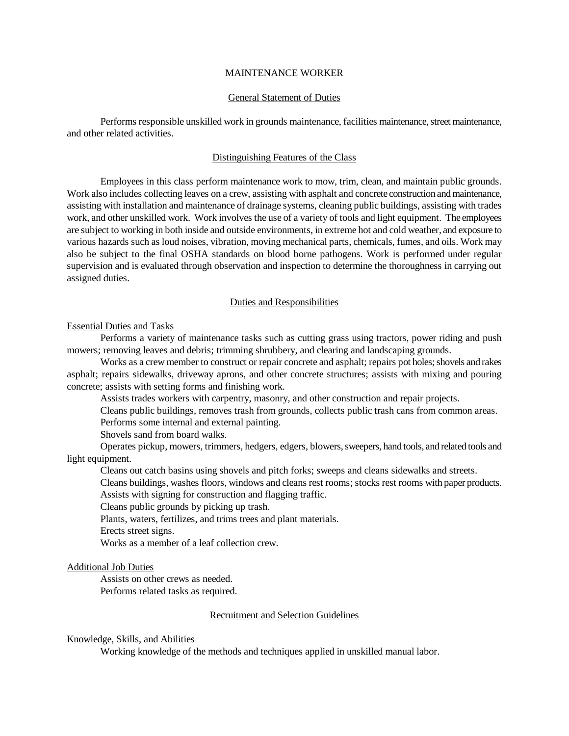#### MAINTENANCE WORKER

#### General Statement of Duties

Performs responsible unskilled work in grounds maintenance, facilities maintenance, street maintenance, and other related activities.

## Distinguishing Features of the Class

Employees in this class perform maintenance work to mow, trim, clean, and maintain public grounds. Work also includes collecting leaves on a crew, assisting with asphalt and concrete construction and maintenance, assisting with installation and maintenance of drainage systems, cleaning public buildings, assisting with trades work, and other unskilled work. Work involves the use of a variety of tools and light equipment. The employees are subject to working in both inside and outside environments, in extreme hot and cold weather, and exposure to various hazards such as loud noises, vibration, moving mechanical parts, chemicals, fumes, and oils. Work may also be subject to the final OSHA standards on blood borne pathogens. Work is performed under regular supervision and is evaluated through observation and inspection to determine the thoroughness in carrying out assigned duties.

# Duties and Responsibilities

# Essential Duties and Tasks

Performs a variety of maintenance tasks such as cutting grass using tractors, power riding and push mowers; removing leaves and debris; trimming shrubbery, and clearing and landscaping grounds.

Works as a crew member to construct or repair concrete and asphalt; repairs pot holes; shovels and rakes asphalt; repairs sidewalks, driveway aprons, and other concrete structures; assists with mixing and pouring concrete; assists with setting forms and finishing work.

Assists trades workers with carpentry, masonry, and other construction and repair projects.

Cleans public buildings, removes trash from grounds, collects public trash cans from common areas. Performs some internal and external painting.

Shovels sand from board walks.

Operates pickup, mowers, trimmers, hedgers, edgers, blowers, sweepers, hand tools, and related tools and light equipment.

Cleans out catch basins using shovels and pitch forks; sweeps and cleans sidewalks and streets.

Cleans buildings, washes floors, windows and cleans rest rooms; stocks rest rooms with paper products. Assists with signing for construction and flagging traffic.

Cleans public grounds by picking up trash.

Plants, waters, fertilizes, and trims trees and plant materials.

Erects street signs.

Works as a member of a leaf collection crew.

## Additional Job Duties

Assists on other crews as needed.

Performs related tasks as required.

## Recruitment and Selection Guidelines

## Knowledge, Skills, and Abilities

Working knowledge of the methods and techniques applied in unskilled manual labor.